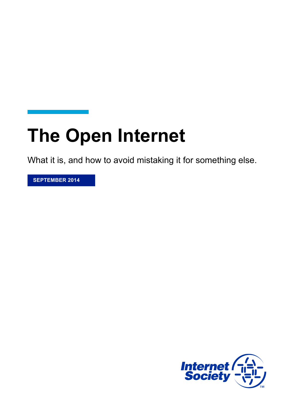# **The Open Internet**

What it is, and how to avoid mistaking it for something else.

**SEPTEMBER 2014**

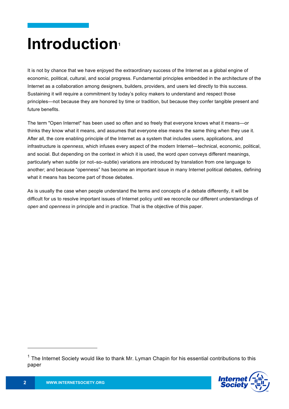### **Introduction**

It is not by chance that we have enjoyed the extraordinary success of the Internet as a global engine of economic, political, cultural, and social progress. Fundamental principles embedded in the architecture of the Internet as a collaboration among designers, builders, providers, and users led directly to this success. Sustaining it will require a commitment by today's policy makers to understand and respect those principles—not because they are honored by time or tradition, but because they confer tangible present and future benefits.

The term "Open Internet" has been used so often and so freely that everyone knows what it means—or thinks they know what it means, and assumes that everyone else means the same thing when they use it. After all, the core enabling principle of the Internet as a system that includes users, applications, and infrastructure is *openness*, which infuses every aspect of the modern Internet—technical, economic, political, and social. But depending on the context in which it is used, the word *open* conveys different meanings, particularly when subtle (or not–so–subtle) variations are introduced by translation from one language to another; and because "openness" has become an important issue in many Internet political debates, defining what it means has become part of those debates.

As is usually the case when people understand the terms and concepts of a debate differently, it will be difficult for us to resolve important issues of Internet policy until we reconcile our different understandings of *open* and *openness* in principle and in practice. That is the objective of this paper.

 $1$  The Internet Society would like to thank Mr. Lyman Chapin for his essential contributions to this paper



 $\overline{a}$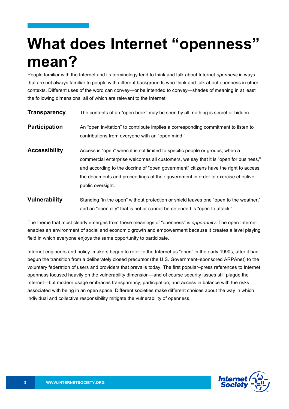### **What does Internet "openness" mean?**

People familiar with the Internet and its terminology tend to think and talk about Internet *openness* in ways that are not always familiar to people with different backgrounds who think and talk about openness in other contexts. Different uses of the word can convey—or be intended to convey—shades of meaning in at least the following dimensions, all of which are relevant to the Internet:

- **Transparency** The contents of an "open book" may be seen by all; nothing is secret or hidden. **Participation** An "open invitation" to contribute implies a corresponding commitment to listen to contributions from everyone with an "open mind." **Accessibility** Access is "open" when it is not limited to specific people or groups; when a commercial enterprise welcomes all customers, we say that it is "open for business," and according to the docrine of "open government" citizens have the right to access the documents and proceedings of their government in order to exercise effective
- **Vulnerability** Standing "in the open" without protection or shield leaves one "open to the weather," and an "open city" that is not or cannot be defended is "open to attack."

public oversight.

The theme that most clearly emerges from these meanings of "openness" is *opportunity*. The open Internet enables an environment of social and economic growth and empowerment because it creates a level playing field in which everyone enjoys the same opportunity to participate.

Internet engineers and policy–makers began to refer to the Internet as "open" in the early 1990s, after it had begun the transition from a deliberately closed precursor (the U.S. Government–sponsored ARPAnet) to the voluntary federation of users and providers that prevails today. The first popular–press references to Internet openness focused heavily on the vulnerability dimension—and of course security issues still plague the Internet—but modern usage embraces transparency, participation, and access in balance with the risks associated with being in an open space. Different societies make different choices about the way in which individual and collective responsibility mitigate the vulnerability of openness.

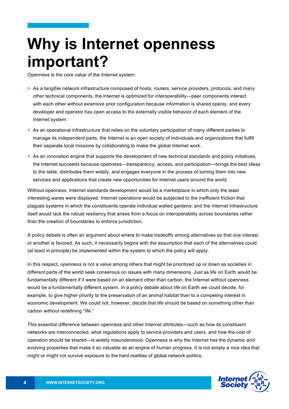## **Why is Internet openness important?**

Openness is the core value of the Internet system:

- **>** As a tangible network infrastructure composed of hosts, routers, service providers, protocols, and many other technical components, the Internet is optimized for interoperability—peer components interact with each other without extensive prior configuration because information is shared openly, and every developer and operator has open access to the externally visible behavior of each element of the Internet system.
- **>** As an operational infrastructure that relies on the voluntary participation of many different parties to manage its independent parts, the Internet is an open society of individuals and organizations that fulfill their separate local missions by collaborating to make the global Internet work.
- **>** As an innovation engine that supports the development of new technical standards and policy initiatives, the Internet succeeds because openness—transparency, access, and participation—brings the best ideas to the table, distributes them widely, and engages everyone in the process of turning them into new services and applications that create new opportunities for Internet users around the world.

Without openness, Internet standards development would be a marketplace in which only the least interesting wares were displayed; Internet operations would be subjected to the inefficient friction that plagues systems in which the constituents operate individual walled gardens; and the Internet infrastructure itself would lack the robust resiliency that arises from a focus on interoperability across boundaries rather than the creation of boundaries to enforce jurisdiction.

A policy debate is often an argument about where to make tradeoffs among alternatives so that one interest or another is favored. As such, it necessarily begins with the assumption that each of the alternatives could (at least in principle) be implemented within the system to which the policy will apply.

In this respect, *openness* is not a value among others that might be prioritized up or down as societies in different parts of the world seek consensus on issues with many dimensions. Just as life on Earth would be fundamentally different if it were based on an element other than carbon, the Internet without openness would be a fundamentally different system. In a policy debate about life on Earth we could decide, for example, to give higher priority to the preservation of an animal habitat than to a competing interest in economic development. We could not, however, decide that life should be based on something other than carbon without redefining "life."

This essential difference between openness and other Internet attributes—such as how its constituent networks are interconnected, what regulations apply to service providers and users, and how the cost of operation should be shared—is widely misunderstood. Openness is why the Internet has the dynamic and evolving properties that make it so valuable as an engine of human progress. It is not simply a nice idea that might or might not survive exposure to the hard realities of global network politics.

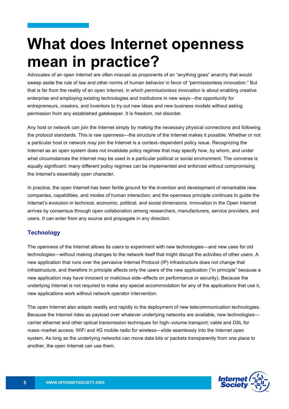### **What does Internet openness mean in practice?**

Advocates of an open Internet are often miscast as proponents of an "anything goes" anarchy that would sweep aside the rule of law and other norms of human behavior in favor of "permissionless innovation." But that is far from the reality of an open Internet, in which *permissionless innovation* is about enabling creative enterprise and employing existing technologies and institutions in new ways—the opportunity for entrepreneurs, creators, and inventors to try out new ideas and new business models without asking permission from any established gatekeeper. It is freedom, not disorder.

Any host or network can join the Internet simply by making the necessary physical connections and following the protocol standards. This is raw openness—the structure of the Internet makes it possible. Whether or not a particular host or network *may* join the Internet is a context–dependent policy issue. Recognizing the Internet as an open system does not invalidate policy regimes that may specify how, by whom, and under what circumstances the Internet may be used in a particular political or social environment. The converse is equally significant: many different policy regimes can be implemented and enforced without compromising the Internet's essentially open character.

In practice, the open Internet has been fertile ground for the invention and development of remarkable new companies, capabilities, and modes of human interaction; and the openness principle continues to guide the Internet's evolution in technical, economic, political, and social dimensions. Innovation in the Open Internet arrives by consensus through open collaboration among researchers, manufacturers, service providers, and users. It can enter from any source and propagate in any direction.

### **Technology**

The openness of the Internet allows its users to experiment with new technologies—and new uses for old technologies—without making changes to the network itself that might disrupt the activities of other users. A new application that runs over the pervasive Internet Protocol (IP) infrastructure does not change that infrastructure, and therefore in principle affects only the users of the new application ("in principle" because a new application may have innocent or malicious side–effects on performance or security). Because the underlying Internet is not required to make any special accommodation for any of the applications that use it, new applications work without network operator intervention.

The open Internet also adapts readily and rapidly to the deployment of new telecommunication technologies. Because the Internet rides as payload over whatever underlying networks are available, new technologies carrier ethernet and other optical transmission techniques for high–volume transport; cable and DSL for mass–market access; WiFi and 4G mobile radio for wireless—slide seamlessly into the Internet open system. As long as the underlying networks can move data bits or packets transparently from one place to another, the open Internet can use them.

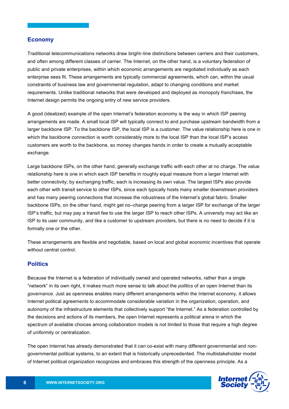#### **Economy**

Traditional telecommunications networks draw bright–line distinctions between carriers and their customers, and often among different classes of carrier. The Internet, on the other hand, is a voluntary federation of public and private enterprises, within which economic arrangements are negotiated individually as each enterprise sees fit. These arrangements are typically commercial agreements, which can, within the usual constraints of business law and governmental regulation, adapt to changing conditions and market requirements. Unlike traditional networks that were developed and deployed as monopoly franchises, the Internet design permits the ongoing entry of new service providers.

A good (idealized) example of the open Internet's federation economy is the way in which ISP peering arrangements are made. A small local ISP will typically connect to and purchase upstream bandwidth from a larger backbone ISP. To the backbone ISP, the local ISP is a customer. The value relationship here is one in which the backbone connection is worth considerably more to the local ISP than the local ISP's access customers are worth to the backbone, so money changes hands in order to create a mutually acceptable exchange.

Large backbone ISPs, on the other hand, generally exchange traffic with each other at no charge. The value relationship here is one in which each ISP benefits in roughly equal measure from a larger Internet with better connectivity; by exchanging traffic, each is increasing its own value. The largest ISPs also provide each other with transit service to other ISPs, since each typically hosts many smaller downstream providers and has many peering connections that increase the robustness of the Internet's global fabric. Smaller backbone ISPs, on the other hand, might get no–charge peering from a larger ISP for exchange of the larger ISP's traffic, but may pay a transit fee to use the larger ISP to reach other ISPs. A university may act like an ISP to its user community, and like a customer to upstream providers, but there is no need to decide if it is formally one or the other.

These arrangements are flexible and negotiable, based on local and global economic incentives that operate without central control.

#### **Politics**

Because the Internet is a federation of individually owned and operated networks, rather than a single "network" in its own right, it makes much more sense to talk about the *politics* of an open Internet than its *governance*. Just as openness enables many different arrangements within the Internet economy, it allows Internet political agreements to accommodate considerable variation in the organization, operation, and autonomy of the infrastructure elements that collectively support "the Internet." As a federation controlled by the decisions and actions of its members, the open Internet represents a political arena in which the spectrum of available choices among collaboration models is not limited to those that require a high degree of uniformity or centralization.

The open Internet has already demonstrated that it can co-exist with many different governmental and nongovernmental political systems, to an extent that is historically unprecedented. The multistakeholder model of Internet political organization recognizes and embraces this strength of the openness principle. As a

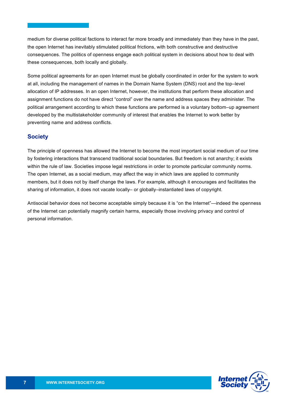medium for diverse political factions to interact far more broadly and immediately than they have in the past, the open Internet has inevitably stimulated political frictions, with both constructive and destructive consequences. The politics of openness engage each political system in decisions about how to deal with these consequences, both locally and globally.

Some political agreements for an open Internet must be globally coordinated in order for the system to work at all, including the management of names in the Domain Name System (DNS) root and the top–level allocation of IP addresses. In an open Internet, however, the institutions that perform these allocation and assignment functions do not have direct "control" over the name and address spaces they administer. The political arrangement according to which these functions are performed is a voluntary bottom–up agreement developed by the multistakeholder community of interest that enables the Internet to work better by preventing name and address conflicts.

#### **Society**

The principle of openness has allowed the Internet to become the most important social medium of our time by fostering interactions that transcend traditional social boundaries. But freedom is not anarchy; it exists within the rule of law. Societies impose legal restrictions in order to promote particular community norms. The open Internet, as a social medium, may affect the way in which laws are applied to community members, but it does not by itself change the laws. For example, although it encourages and facilitates the sharing of information, it does not vacate locally– or globally–instantiated laws of copyright.

Antisocial behavior does not become acceptable simply because it is "on the Internet"—indeed the openness of the Internet can potentially magnify certain harms, especially those involving privacy and control of personal information.

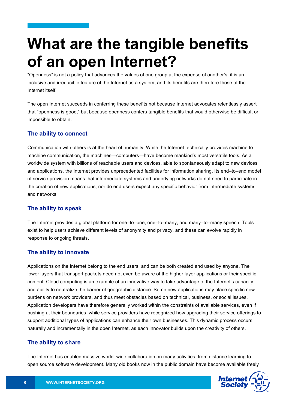## **What are the tangible benefits of an open Internet?**

"Openness" is not a policy that advances the values of one group at the expense of another's; it is an inclusive and irreducible feature of the Internet as a system, and its benefits are therefore those of the Internet itself.

The open Internet succeeds in conferring these benefits not because Internet advocates relentlessly assert that "openness is good," but because openness confers tangible benefits that would otherwise be difficult or impossible to obtain.

### **The ability to connect**

Communication with others is at the heart of humanity. While the Internet technically provides machine to machine communication, the machines—computers—have become mankind's most versatile tools. As a worldwide system with billions of reachable users and devices, able to spontaneously adapt to new devices and applications, the Internet provides unprecedented facilities for information sharing. Its end–to–end model of service provision means that intermediate systems and underlying networks do not need to participate in the creation of new applications, nor do end users expect any specific behavior from intermediate systems and networks.

### **The ability to speak**

The Internet provides a global platform for one–to–one, one–to–many, and many–to–many speech. Tools exist to help users achieve different levels of anonymity and privacy, and these can evolve rapidly in response to ongoing threats.

### **The ability to innovate**

Applications on the Internet belong to the end users, and can be both created and used by anyone. The lower layers that transport packets need not even be aware of the higher layer applications or their specific content. Cloud computing is an example of an innovative way to take advantage of the Internet's capacity and ability to neutralize the barrier of geographic distance. Some new applications may place specific new burdens on network providers, and thus meet obstacles based on technical, business, or social issues. Application developers have therefore generally worked within the constraints of available services, even if pushing at their boundaries, while service providers have recognized how upgrading their service offerings to support additional types of applications can enhance their own businesses. This dynamic process occurs naturally and incrementally in the open Internet, as each innovator builds upon the creativity of others.

### **The ability to share**

The Internet has enabled massive world–wide collaboration on many activities, from distance learning to open source software development. Many old books now in the public domain have become available freely